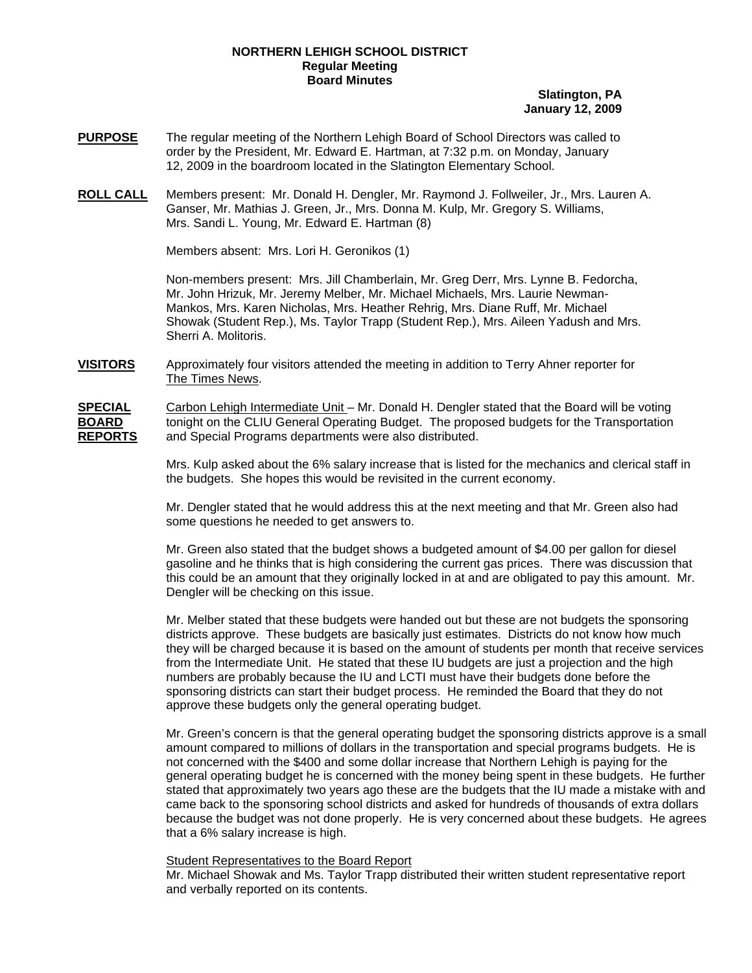## **NORTHERN LEHIGH SCHOOL DISTRICT Regular Meeting Board Minutes**

## **Slatington, PA January 12, 2009**

- **PURPOSE** The regular meeting of the Northern Lehigh Board of School Directors was called to order by the President, Mr. Edward E. Hartman, at 7:32 p.m. on Monday, January 12, 2009 in the boardroom located in the Slatington Elementary School.
- **ROLL CALL** Members present: Mr. Donald H. Dengler, Mr. Raymond J. Follweiler, Jr., Mrs. Lauren A. Ganser, Mr. Mathias J. Green, Jr., Mrs. Donna M. Kulp, Mr. Gregory S. Williams, Mrs. Sandi L. Young, Mr. Edward E. Hartman (8)

Members absent: Mrs. Lori H. Geronikos (1)

Non-members present: Mrs. Jill Chamberlain, Mr. Greg Derr, Mrs. Lynne B. Fedorcha, Mr. John Hrizuk, Mr. Jeremy Melber, Mr. Michael Michaels, Mrs. Laurie Newman-Mankos, Mrs. Karen Nicholas, Mrs. Heather Rehrig, Mrs. Diane Ruff, Mr. Michael Showak (Student Rep.), Ms. Taylor Trapp (Student Rep.), Mrs. Aileen Yadush and Mrs. Sherri A. Molitoris.

**VISITORS** Approximately four visitors attended the meeting in addition to Terry Ahner reporter for The Times News.

**SPECIAL** Carbon Lehigh Intermediate Unit – Mr. Donald H. Dengler stated that the Board will be voting **BOARD** tonight on the CLIU General Operating Budget. The proposed budgets for the Transportation **REPORTS** and Special Programs departments were also distributed.

> Mrs. Kulp asked about the 6% salary increase that is listed for the mechanics and clerical staff in the budgets. She hopes this would be revisited in the current economy.

Mr. Dengler stated that he would address this at the next meeting and that Mr. Green also had some questions he needed to get answers to.

Mr. Green also stated that the budget shows a budgeted amount of \$4.00 per gallon for diesel gasoline and he thinks that is high considering the current gas prices. There was discussion that this could be an amount that they originally locked in at and are obligated to pay this amount. Mr. Dengler will be checking on this issue.

Mr. Melber stated that these budgets were handed out but these are not budgets the sponsoring districts approve. These budgets are basically just estimates. Districts do not know how much they will be charged because it is based on the amount of students per month that receive services from the Intermediate Unit. He stated that these IU budgets are just a projection and the high numbers are probably because the IU and LCTI must have their budgets done before the sponsoring districts can start their budget process. He reminded the Board that they do not approve these budgets only the general operating budget.

Mr. Green's concern is that the general operating budget the sponsoring districts approve is a small amount compared to millions of dollars in the transportation and special programs budgets. He is not concerned with the \$400 and some dollar increase that Northern Lehigh is paying for the general operating budget he is concerned with the money being spent in these budgets. He further stated that approximately two years ago these are the budgets that the IU made a mistake with and came back to the sponsoring school districts and asked for hundreds of thousands of extra dollars because the budget was not done properly. He is very concerned about these budgets. He agrees that a 6% salary increase is high.

#### Student Representatives to the Board Report

Mr. Michael Showak and Ms. Taylor Trapp distributed their written student representative report and verbally reported on its contents.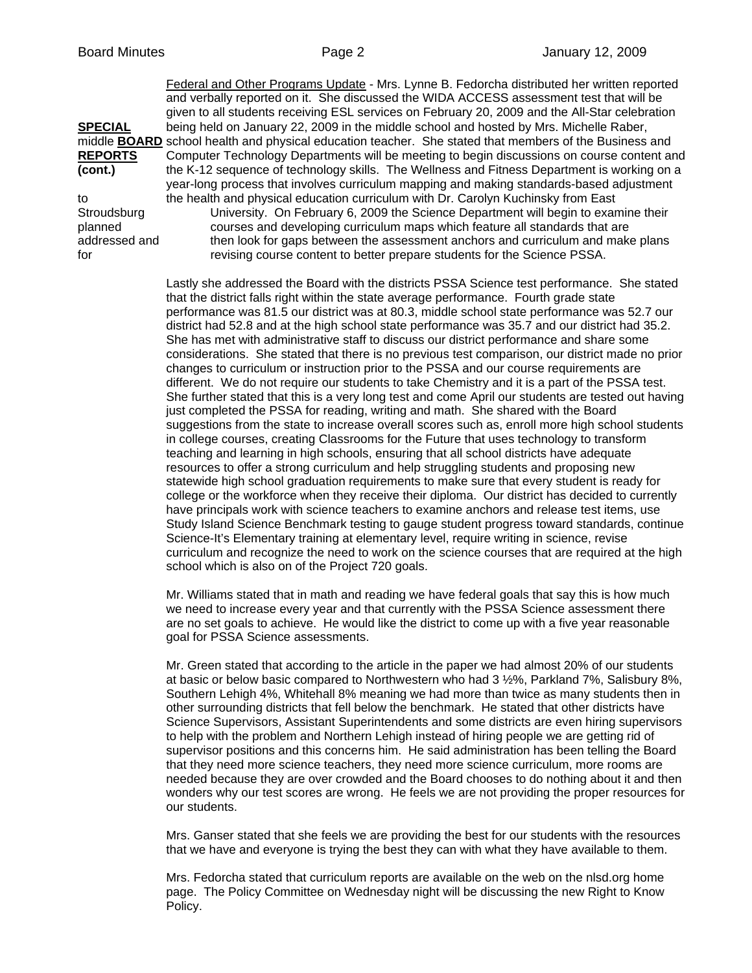Federal and Other Programs Update - Mrs. Lynne B. Fedorcha distributed her written reported and verbally reported on it. She discussed the WIDA ACCESS assessment test that will be given to all students receiving ESL services on February 20, 2009 and the All-Star celebration **SPECIAL** being held on January 22, 2009 in the middle school and hosted by Mrs. Michelle Raber, middle **BOARD** school health and physical education teacher. She stated that members of the Business and REPORTS Computer Technology Departments will be meeting to begin discussions on course content and **(cont.)** the K-12 sequence of technology skills. The Wellness and Fitness Department is working on a year-long process that involves curriculum mapping and making standards-based adjustment to the health and physical education curriculum with Dr. Carolyn Kuchinsky from East Stroudsburg University. On February 6, 2009 the Science Department will begin to examine their planned courses and developing curriculum maps which feature all standards that are addressed and then look for gaps between the assessment anchors and curriculum and make plans for revising course content to better prepare students for the Science PSSA.

> Lastly she addressed the Board with the districts PSSA Science test performance. She stated that the district falls right within the state average performance. Fourth grade state performance was 81.5 our district was at 80.3, middle school state performance was 52.7 our district had 52.8 and at the high school state performance was 35.7 and our district had 35.2. She has met with administrative staff to discuss our district performance and share some considerations. She stated that there is no previous test comparison, our district made no prior changes to curriculum or instruction prior to the PSSA and our course requirements are different. We do not require our students to take Chemistry and it is a part of the PSSA test. She further stated that this is a very long test and come April our students are tested out having just completed the PSSA for reading, writing and math. She shared with the Board suggestions from the state to increase overall scores such as, enroll more high school students in college courses, creating Classrooms for the Future that uses technology to transform teaching and learning in high schools, ensuring that all school districts have adequate resources to offer a strong curriculum and help struggling students and proposing new statewide high school graduation requirements to make sure that every student is ready for college or the workforce when they receive their diploma. Our district has decided to currently have principals work with science teachers to examine anchors and release test items, use Study Island Science Benchmark testing to gauge student progress toward standards, continue Science-It's Elementary training at elementary level, require writing in science, revise curriculum and recognize the need to work on the science courses that are required at the high school which is also on of the Project 720 goals.

Mr. Williams stated that in math and reading we have federal goals that say this is how much we need to increase every year and that currently with the PSSA Science assessment there are no set goals to achieve. He would like the district to come up with a five year reasonable goal for PSSA Science assessments.

Mr. Green stated that according to the article in the paper we had almost 20% of our students at basic or below basic compared to Northwestern who had 3 ½%, Parkland 7%, Salisbury 8%, Southern Lehigh 4%, Whitehall 8% meaning we had more than twice as many students then in other surrounding districts that fell below the benchmark. He stated that other districts have Science Supervisors, Assistant Superintendents and some districts are even hiring supervisors to help with the problem and Northern Lehigh instead of hiring people we are getting rid of supervisor positions and this concerns him. He said administration has been telling the Board that they need more science teachers, they need more science curriculum, more rooms are needed because they are over crowded and the Board chooses to do nothing about it and then wonders why our test scores are wrong. He feels we are not providing the proper resources for our students.

Mrs. Ganser stated that she feels we are providing the best for our students with the resources that we have and everyone is trying the best they can with what they have available to them.

Mrs. Fedorcha stated that curriculum reports are available on the web on the nlsd.org home page. The Policy Committee on Wednesday night will be discussing the new Right to Know Policy.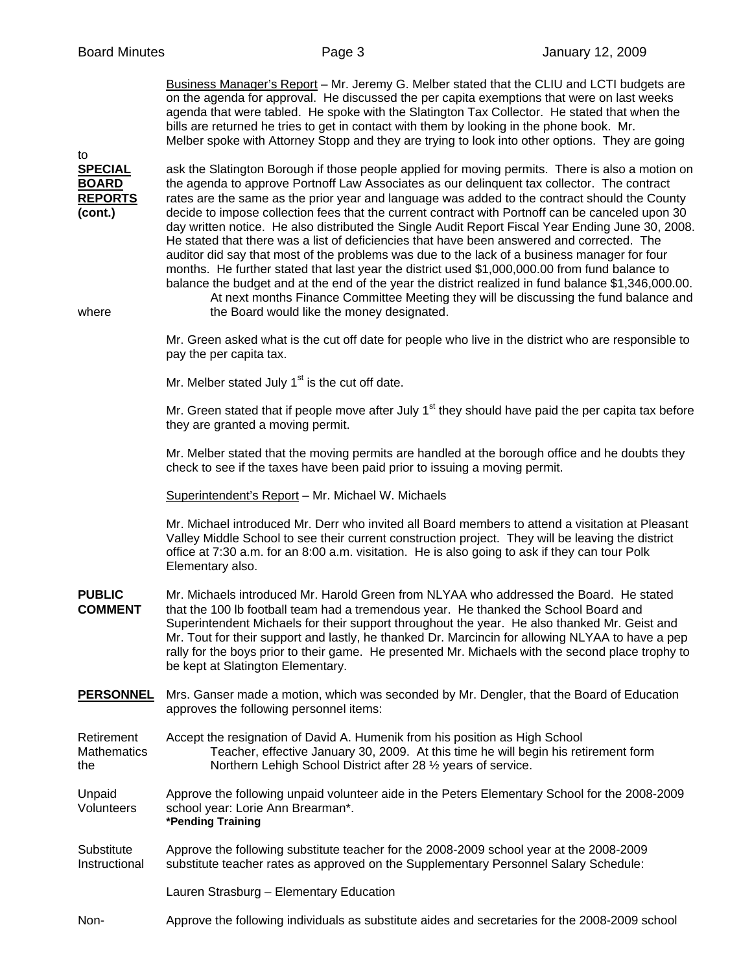to

 Business Manager's Report – Mr. Jeremy G. Melber stated that the CLIU and LCTI budgets are on the agenda for approval. He discussed the per capita exemptions that were on last weeks agenda that were tabled. He spoke with the Slatington Tax Collector. He stated that when the bills are returned he tries to get in contact with them by looking in the phone book. Mr. Melber spoke with Attorney Stopp and they are trying to look into other options. They are going

**SPECIAL** ask the Slatington Borough if those people applied for moving permits. There is also a motion on **BOARD** the agenda to approve Portnoff Law Associates as our delinguent tax collector. The contract **REPORTS** rates are the same as the prior year and language was added to the contract should the County **(cont.)** decide to impose collection fees that the current contract with Portnoff can be canceled upon 30 day written notice. He also distributed the Single Audit Report Fiscal Year Ending June 30, 2008. He stated that there was a list of deficiencies that have been answered and corrected. The auditor did say that most of the problems was due to the lack of a business manager for four months. He further stated that last year the district used \$1,000,000.00 from fund balance to balance the budget and at the end of the year the district realized in fund balance \$1,346,000.00. At next months Finance Committee Meeting they will be discussing the fund balance and where **the Board would like the money designated.** Mr. Green asked what is the cut off date for people who live in the district who are responsible to pay the per capita tax. Mr. Melber stated July  $1<sup>st</sup>$  is the cut off date. Mr. Green stated that if people move after July  $1<sup>st</sup>$  they should have paid the per capita tax before they are granted a moving permit. Mr. Melber stated that the moving permits are handled at the borough office and he doubts they check to see if the taxes have been paid prior to issuing a moving permit. Superintendent's Report – Mr. Michael W. Michaels Mr. Michael introduced Mr. Derr who invited all Board members to attend a visitation at Pleasant Valley Middle School to see their current construction project. They will be leaving the district office at 7:30 a.m. for an 8:00 a.m. visitation. He is also going to ask if they can tour Polk Elementary also. **PUBLIC** Mr. Michaels introduced Mr. Harold Green from NLYAA who addressed the Board. He stated **COMMENT** that the 100 lb football team had a tremendous year. He thanked the School Board and Superintendent Michaels for their support throughout the year. He also thanked Mr. Geist and Mr. Tout for their support and lastly, he thanked Dr. Marcincin for allowing NLYAA to have a pep rally for the boys prior to their game. He presented Mr. Michaels with the second place trophy to be kept at Slatington Elementary. **PERSONNEL** Mrs. Ganser made a motion, which was seconded by Mr. Dengler, that the Board of Education approves the following personnel items: Retirement Accept the resignation of David A. Humenik from his position as High School Mathematics Teacher, effective January 30, 2009. At this time he will begin his retirement form the Northern Lehigh School District after 28 ½ years of service. Unpaid Approve the following unpaid volunteer aide in the Peters Elementary School for the 2008-2009 Volunteers school year: Lorie Ann Brearman\*. **\*Pending Training** 

Substitute Approve the following substitute teacher for the 2008-2009 school year at the 2008-2009 Instructional substitute teacher rates as approved on the Supplementary Personnel Salary Schedule:

Lauren Strasburg – Elementary Education

Non- Approve the following individuals as substitute aides and secretaries for the 2008-2009 school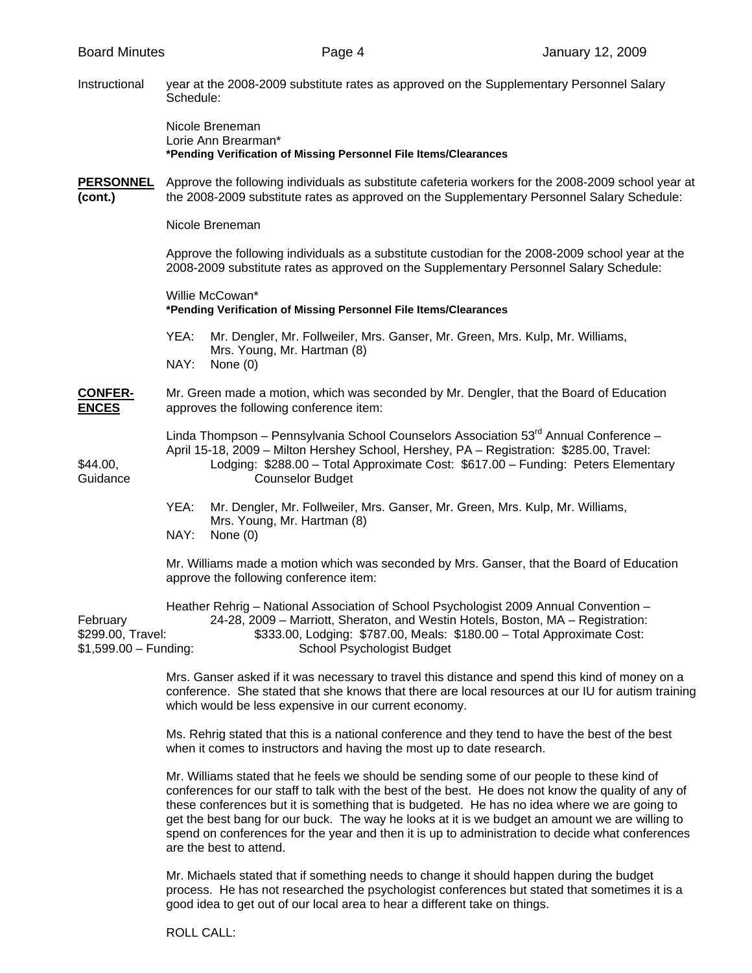Instructional year at the 2008-2009 substitute rates as approved on the Supplementary Personnel Salary Schedule:

> Nicole Breneman Lorie Ann Brearman\* **\*Pending Verification of Missing Personnel File Items/Clearances**

**PERSONNEL** Approve the following individuals as substitute cafeteria workers for the 2008-2009 school year at **(cont.)** the 2008-2009 substitute rates as approved on the Supplementary Personnel Salary Schedule:

Nicole Breneman

 Approve the following individuals as a substitute custodian for the 2008-2009 school year at the 2008-2009 substitute rates as approved on the Supplementary Personnel Salary Schedule:

 Willie McCowan\*  **\*Pending Verification of Missing Personnel File Items/Clearances** 

- YEA: Mr. Dengler, Mr. Follweiler, Mrs. Ganser, Mr. Green, Mrs. Kulp, Mr. Williams, Mrs. Young, Mr. Hartman (8) NAY: None (0)
- **CONFER-** Mr. Green made a motion, which was seconded by Mr. Dengler, that the Board of Education **ENCES** approves the following conference item:

Linda Thompson – Pennsylvania School Counselors Association  $53<sup>rd</sup>$  Annual Conference – April 15-18, 2009 – Milton Hershey School, Hershey, PA – Registration: \$285.00, Travel: \$44.00, Lodging: \$288.00 – Total Approximate Cost: \$617.00 – Funding: Peters Elementary Guidance Counselor Budget

> YEA: Mr. Dengler, Mr. Follweiler, Mrs. Ganser, Mr. Green, Mrs. Kulp, Mr. Williams, Mrs. Young, Mr. Hartman (8) NAY: None (0)

 Mr. Williams made a motion which was seconded by Mrs. Ganser, that the Board of Education approve the following conference item:

 Heather Rehrig – National Association of School Psychologist 2009 Annual Convention – February 24-28, 2009 – Marriott, Sheraton, and Westin Hotels, Boston, MA – Registration: \$299.00, Travel: \$333.00, Lodging: \$787.00, Meals: \$180.00 – Total Approximate Cost: \$1,599.00 – Funding: School Psychologist Budget

> Mrs. Ganser asked if it was necessary to travel this distance and spend this kind of money on a conference. She stated that she knows that there are local resources at our IU for autism training which would be less expensive in our current economy.

Ms. Rehrig stated that this is a national conference and they tend to have the best of the best when it comes to instructors and having the most up to date research.

Mr. Williams stated that he feels we should be sending some of our people to these kind of conferences for our staff to talk with the best of the best. He does not know the quality of any of these conferences but it is something that is budgeted. He has no idea where we are going to get the best bang for our buck. The way he looks at it is we budget an amount we are willing to spend on conferences for the year and then it is up to administration to decide what conferences are the best to attend.

Mr. Michaels stated that if something needs to change it should happen during the budget process. He has not researched the psychologist conferences but stated that sometimes it is a good idea to get out of our local area to hear a different take on things.

ROLL CALL: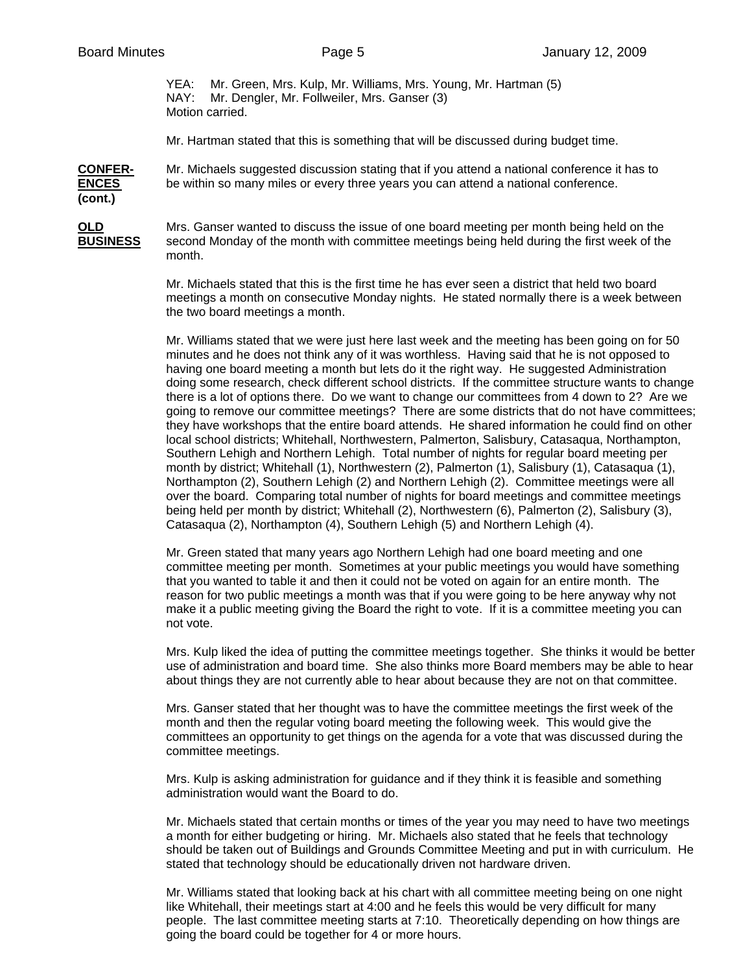YEA: Mr. Green, Mrs. Kulp, Mr. Williams, Mrs. Young, Mr. Hartman (5) NAY: Mr. Dengler, Mr. Follweiler, Mrs. Ganser (3) Motion carried.

Mr. Hartman stated that this is something that will be discussed during budget time.

**CONFER-** Mr. Michaels suggested discussion stating that if you attend a national conference it has to **ENCES** be within so many miles or every three years you can attend a national conference. **(cont.)** 

**OLD** Mrs. Ganser wanted to discuss the issue of one board meeting per month being held on the **BUSINESS** second Monday of the month with committee meetings being held during the first week of the month.

> Mr. Michaels stated that this is the first time he has ever seen a district that held two board meetings a month on consecutive Monday nights. He stated normally there is a week between the two board meetings a month.

Mr. Williams stated that we were just here last week and the meeting has been going on for 50 minutes and he does not think any of it was worthless. Having said that he is not opposed to having one board meeting a month but lets do it the right way. He suggested Administration doing some research, check different school districts. If the committee structure wants to change there is a lot of options there. Do we want to change our committees from 4 down to 2? Are we going to remove our committee meetings? There are some districts that do not have committees; they have workshops that the entire board attends. He shared information he could find on other local school districts; Whitehall, Northwestern, Palmerton, Salisbury, Catasaqua, Northampton, Southern Lehigh and Northern Lehigh. Total number of nights for regular board meeting per month by district; Whitehall (1), Northwestern (2), Palmerton (1), Salisbury (1), Catasaqua (1), Northampton (2), Southern Lehigh (2) and Northern Lehigh (2). Committee meetings were all over the board. Comparing total number of nights for board meetings and committee meetings being held per month by district; Whitehall (2), Northwestern (6), Palmerton (2), Salisbury (3), Catasaqua (2), Northampton (4), Southern Lehigh (5) and Northern Lehigh (4).

Mr. Green stated that many years ago Northern Lehigh had one board meeting and one committee meeting per month. Sometimes at your public meetings you would have something that you wanted to table it and then it could not be voted on again for an entire month. The reason for two public meetings a month was that if you were going to be here anyway why not make it a public meeting giving the Board the right to vote. If it is a committee meeting you can not vote.

Mrs. Kulp liked the idea of putting the committee meetings together. She thinks it would be better use of administration and board time. She also thinks more Board members may be able to hear about things they are not currently able to hear about because they are not on that committee.

Mrs. Ganser stated that her thought was to have the committee meetings the first week of the month and then the regular voting board meeting the following week. This would give the committees an opportunity to get things on the agenda for a vote that was discussed during the committee meetings.

Mrs. Kulp is asking administration for guidance and if they think it is feasible and something administration would want the Board to do.

Mr. Michaels stated that certain months or times of the year you may need to have two meetings a month for either budgeting or hiring. Mr. Michaels also stated that he feels that technology should be taken out of Buildings and Grounds Committee Meeting and put in with curriculum. He stated that technology should be educationally driven not hardware driven.

Mr. Williams stated that looking back at his chart with all committee meeting being on one night like Whitehall, their meetings start at 4:00 and he feels this would be very difficult for many people. The last committee meeting starts at 7:10. Theoretically depending on how things are going the board could be together for 4 or more hours.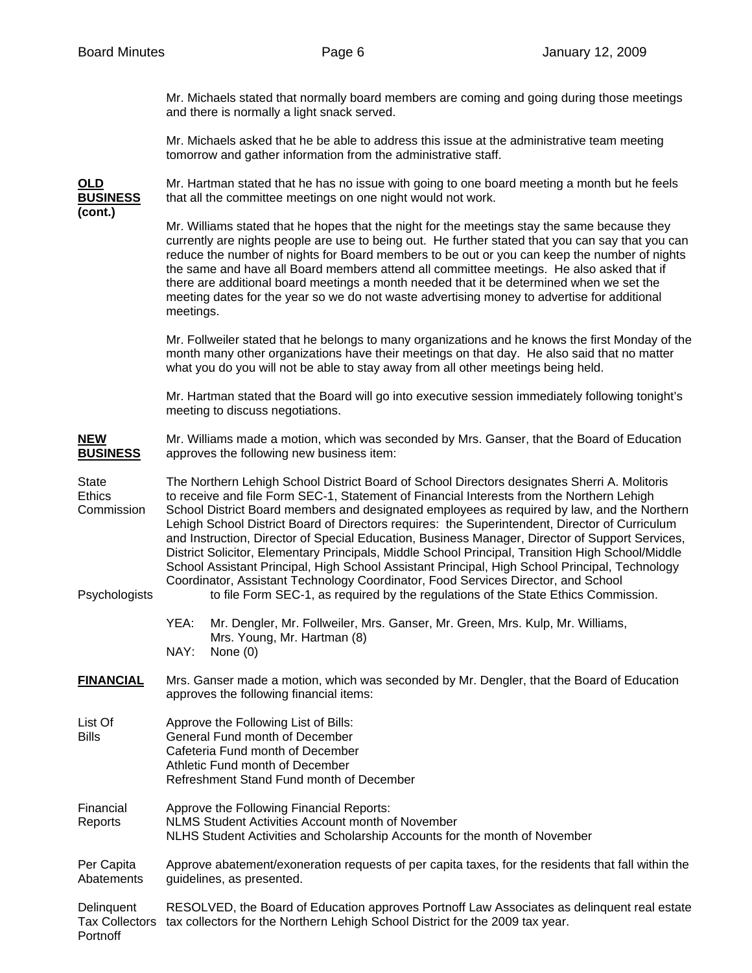Mr. Michaels stated that normally board members are coming and going during those meetings and there is normally a light snack served.

Mr. Michaels asked that he be able to address this issue at the administrative team meeting tomorrow and gather information from the administrative staff.

**(cont.)** 

**OLD** Mr. Hartman stated that he has no issue with going to one board meeting a month but he feels **BUSINESS** that all the committee meetings on one night would not work.

> Mr. Williams stated that he hopes that the night for the meetings stay the same because they currently are nights people are use to being out. He further stated that you can say that you can reduce the number of nights for Board members to be out or you can keep the number of nights the same and have all Board members attend all committee meetings. He also asked that if there are additional board meetings a month needed that it be determined when we set the meeting dates for the year so we do not waste advertising money to advertise for additional meetings.

> Mr. Follweiler stated that he belongs to many organizations and he knows the first Monday of the month many other organizations have their meetings on that day. He also said that no matter what you do you will not be able to stay away from all other meetings being held.

Mr. Hartman stated that the Board will go into executive session immediately following tonight's meeting to discuss negotiations.

**NEW** Mr. Williams made a motion, which was seconded by Mrs. Ganser, that the Board of Education **BUSINESS** approves the following new business item:

State The Northern Lehigh School District Board of School Directors designates Sherri A. Molitoris Ethics to receive and file Form SEC-1, Statement of Financial Interests from the Northern Lehigh Commission School District Board members and designated employees as required by law, and the Northern Lehigh School District Board of Directors requires: the Superintendent, Director of Curriculum and Instruction, Director of Special Education, Business Manager, Director of Support Services, District Solicitor, Elementary Principals, Middle School Principal, Transition High School/Middle School Assistant Principal, High School Assistant Principal, High School Principal, Technology Coordinator, Assistant Technology Coordinator, Food Services Director, and School Psychologists to file Form SEC-1, as required by the regulations of the State Ethics Commission.

> YEA: Mr. Dengler, Mr. Follweiler, Mrs. Ganser, Mr. Green, Mrs. Kulp, Mr. Williams, Mrs. Young, Mr. Hartman (8) NAY: None (0)

**FINANCIAL** Mrs. Ganser made a motion, which was seconded by Mr. Dengler, that the Board of Education approves the following financial items:

- List Of Approve the Following List of Bills: Bills General Fund month of December Cafeteria Fund month of December Athletic Fund month of December
	- Refreshment Stand Fund month of December
- Financial Approve the Following Financial Reports: Reports NLMS Student Activities Account month of November NLHS Student Activities and Scholarship Accounts for the month of November

Per Capita Approve abatement/exoneration requests of per capita taxes, for the residents that fall within the Abatements guidelines, as presented.

Delinquent RESOLVED, the Board of Education approves Portnoff Law Associates as delinquent real estate Tax Collectors tax collectors for the Northern Lehigh School District for the 2009 tax year. Portnoff